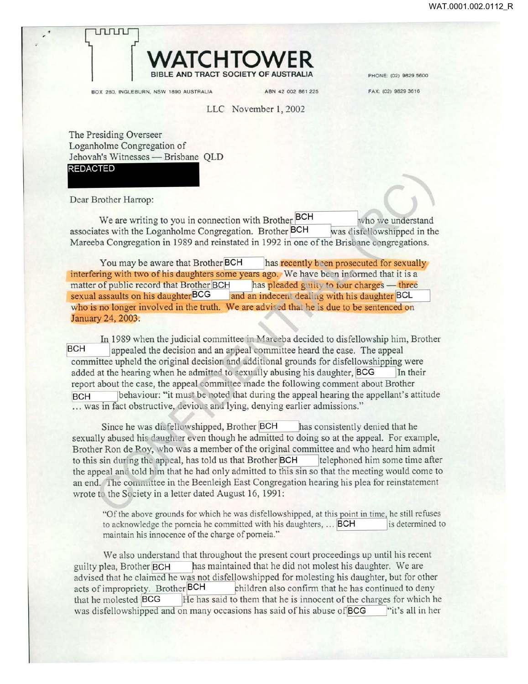uuuu



BOX 280. INGLEBURN, NSW 1890 AUSTRALIA ABN 42 002 861 225

FAX: (02) 9829 3616

LLC November 1, 2002

The Presiding Overseer Loganholme Congregation of Jehovah's Witnesses - Brisbane QLD REDACTED

Dear Brother Harrop:

We are writing to you in connection with Brother BCH who we understand associates with the Loganholme Congregation. Brother BCH was distellowshipped in the Mareeba Congregation in 1989 and reinstated in 1992 in one of the Brisbane congregations.

You may be aware that Brother BCH has recently been prosecuted for sexually interfering with two of his daughters some years ago. We have been informed that it is a matter of public record that Brother BCH has pleaded guilty to four charges — three sexual assaults on his daughter  $BCG$  and an indecent dealing with his daughter  $BCL$ who is no longer involved in the truth. We are advised that he is due to be sentenced on January 24, 2003.

 $\frac{\text{In}}{\text{BCH}}$  1989 when the judicial committee in Marceba decided to disfellowship him, Brother  $\text{BCH}$ appealed the decision and an appeal committee heard the case. The appeal committee upheld the original decision and additional grounds for disfellowshipping were added at the hearing when he admitted to sexually abusing his daughter, BCG In their report about the case, the appeal committee made the following comment about Brother BCH behaviour: "it must be noted that during the appeal hearing the appellant's attitude ... was in fact obstructive, devious and lying, denying earlier admissions."

Since he was disfellowshipped, Brother BCH has consistently denied that he sexually abused his daughter even though he admitted to doing so at the appeal. For example, Brother Ron de Roy, who was a member of the original committee and who heard him admit to this sin during the appeal, has told us that Brother BCH telephoned him some time after the appeal and told him that he had only admitted to this sin so that the meeting would come to an end. The committee in the Beenleigh East Congregation hearing his plea for reinstatement wrote to the Society in a letter dated August 16, 1991:

"Of the above grounds for which he was disfellowshipped, at this point in time, he still refuses to acknowledge the porneia he committed with his daughters, ...  $\textsf{BCH}$  is determined to maintain his innocence of the charge of pomeia."

We also understand that throughout the present court proceedings up until his recent guilty plea, Brother **BCH** has maintained that he did not molest his daughter. We are advised that he claimed he was not dis fellowshipped for molesting his daughter, but for other acts of impropriety. Brother BCH children also confirm that he has continued to deny that he molested **BCG** He has said to them that he is innocent of the charges for which he was disfellowshipped and on many occasions has said of his abuse of **BCG** "it's all in her